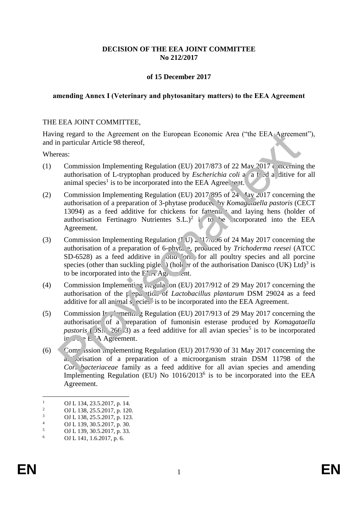### **DECISION OF THE EEA JOINT COMMITTEE No 212/2017**

### **of 15 December 2017**

#### **amending Annex I (Veterinary and phytosanitary matters) to the EEA Agreement**

#### THE EEA JOINT COMMITTEE,

Having regard to the Agreement on the European Economic Area ("the EEA Agreement"), and in particular Article 98 thereof,

Whereas:

- (1) Commission Implementing Regulation (EU) 2017/873 of 22 May 2017 concerning the authorisation of L-tryptophan produced by *Escherichia coli* a  $\hat{a}$  *f*  $\hat{c}$  *d* a ditive for all animal species<sup>1</sup> is to be incorporated into the EEA Agree. First,
- (2) Commission Implementing Regulation (EU) 2017/895 of 24 May 2017 concerning the authorisation of a preparation of 3-phytase produced by *Komaguaella pastoris* (CECT 13094) as a feed additive for chickens for fattening and laying hens (holder of authorisation Fertinagro Nutrientes  $S.L.^{2}$  i to be icorporated into the EEA Agreement.
- (3) Commission Implementing Regulation ( $\overline{U}$ )  $\geq$   $\overline{U}$   $\rightarrow$   $\overline{O}$  of 24 May 2017 concerning the authorisation of a preparation of 6-phytase, produced by *Trichoderma reesei* (ATCC  $SD-6528$ ) as a feed additive in  $JIA$  form for all poultry species and all porcine species (other than suckling piglet) (holder of the authorisation Danisco (UK) Ltd)<sup>3</sup> is to be incorporated into the  $F_A$  Agreement. mg regard to the Agreement on the European Economic Area ("the EEA Agreeme<br>particular Article 98 thereof,<br>example monitosiation of L-tryptophan produced by *Escherichia coli* a a t d a, ditive for<br>authorisation of L-trypt
- (4) Commission Implementing  $R_{\text{e}}$  and CEU) 2017/912 of 29 May 2017 concerning the authorisation of the preparation of *Lactobacillus plantarum* DSM 29024 as a feed additive for all animal  $s<sub>i</sub>$  ecies is to be incorporated into the EEA Agreement.
- (5) Commission Implementing Regulation (EU) 2017/913 of 29 May 2017 concerning the authorisation of a preparation of fumonisin esterase produced by *Komagataella pastoris* ( $\sqrt{S_N}$  266 3) as a feed additive for all avian species<sup>5</sup> is to be incorporated  $i \in \mathbb{R}$  e. A Agreement.
- (6) Commission Implementing Regulation (EU) 2017/930 of 31 May 2017 concerning the a. orisation of a preparation of a microorganism strain DSM 11798 of the *Cori* bacteriaceae family as a feed additive for all avian species and amending Implementing Regulation (EU) No  $1016/2013^6$  is to be incorporated into the EEA Agreement.

 $\frac{1}{2}$  OJ L 134, 23.5.2017, p. 14.

<sup>&</sup>lt;sup>2</sup> OJ L 138, 25.5.2017, p. 120.

 $\frac{3}{4}$  OJ L 138, 25.5.2017, p. 123.

 $^{4}$  OJ L 139, 30.5.2017, p. 30.

 $5$  OJ L 139, 30.5.2017, p. 33.

<sup>6</sup> OJ L 141, 1.6.2017, p. 6.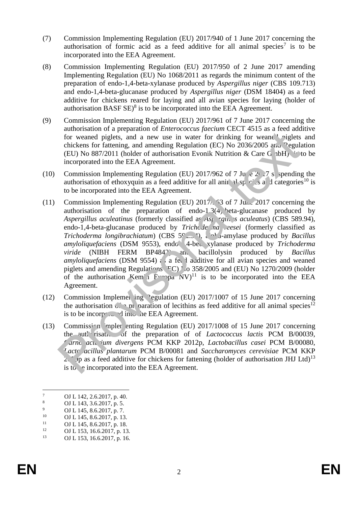- (7) Commission Implementing Regulation (EU) 2017/940 of 1 June 2017 concerning the authorisation of formic acid as a feed additive for all animal species<sup>7</sup> is to be incorporated into the EEA Agreement.
- (8) Commission Implementing Regulation (EU) 2017/950 of 2 June 2017 amending Implementing Regulation (EU) No 1068/2011 as regards the minimum content of the preparation of endo-1,4-beta-xylanase produced by *Aspergillus niger* (CBS 109.713) and endo-1,4-beta-glucanase produced by *Aspergillus niger* (DSM 18404) as a feed additive for chickens reared for laying and all avian species for laying (holder of authorisation BASF  $SE)^8$  is to be incorporated into the EEA Agreement.
- (9) Commission Implementing Regulation (EU) 2017/961 of 7 June 2017 concerning the authorisation of a preparation of *Enterococcus faecium* CECT 4515 as a feed additive for weaned piglets, and a new use in water for drinking for weaned niglets and chickens for fattening, and amending Regulation (EC) No  $2036/2005$  and Pegulation (EU) No 887/2011 (holder of authorisation Evonik Nutrition & Care G  $n bH$ ) is to be incorporated into the EEA Agreement.
- (10) Commission Implementing Regulation (EU) 2017/962 of 7 June 2017 suspending the authorisation of ethoxyquin as a feed additive for all animal species and categories<sup>10</sup> is to be incorporated into the EEA Agreement.
- (11) Commission Implementing Regulation (EU)  $2017/53$  of 7 June 2017 concerning the authorisation of the preparation of endo-1.3(4) beta-glucanase produced by *Aspergillus aculeatinus* (formerly classified as *Aspergings aculeatus*) (CBS 589.94), endo-1,4-beta-glucanase produced by *Trichode na resei* (formerly classified as *Trichoderma longibrachiatum*) (CBS 59...<sup>4</sup>), alpha-amylase produced by *Bacillus amyloliquefaciens* (DSM 9553), endo 4-bet, xylanase produced by *Trichoderma viride* (NIBH FERM BP484<sup>2</sup>) and bacillolysin produced by *Bacillus amyloliquefaciens* (DSM 9554) as feed additive for all avian species and weaned piglets and amending Regulations  $\overline{FC}$ ) o 358/2005 and (EU) No 1270/2009 (holder of the authorisation Kem<sup>'</sup>n Europa  $NV$ <sup>11</sup> is to be incorporated into the EEA Agreement. contracts of the primary of the method of the method of the product of the method of the method of the method in the EEA Agreement.<br>
Convention of the EEA Agreement and an extraction of the EEA Agreement.<br>
Convention of e
- (12) Commission Implementing Pegulation (EU)  $2017/1007$  of 15 June 2017 concerning the authorisation  $\mathcal{L} \cap \mathcal{D}$  paration of lecithins as feed additive for all animal species<sup>12</sup> is to be incorporated into the EEA Agreement.
- (13) Commission Implementing Regulation (EU) 2017/1008 of 15 June 2017 concerning the authorisation of the preparation of of *Lactococcus lactis* PCM B/00039, *Carnobacterium divergens* PCM KKP 2012p, *Lactobacillus casei* PCM B/00080, *Lactobacillus plantarum* PCM B/00081 and *Saccharomyces cerevisiae* PCM KKP  $2\sqrt{\pi}$  as a feed additive for chickens for fattening (holder of authorisation JHJ Ltd)<sup>13</sup> is to be incorporated into the EEA Agreement.

 $\overline{a}$ 

 $\frac{7}{8}$  OJ L 142, 2.6.2017, p. 40.

<sup>&</sup>lt;sup>8</sup> OJ L 143, 3.6.2017, p. 5.

<sup>&</sup>lt;sup>9</sup> OJ L 145, 8.6.2017, p. 7.<br><sup>10</sup> OJ L 145, 8.6.2017, p. 12

<sup>&</sup>lt;sup>10</sup> OJ L 145, 8.6.2017, p. 13.<br><sup>11</sup> OJ L 145, 8.6.2017, p. 19.

<sup>&</sup>lt;sup>11</sup> OJ L 145, 8.6.2017, p. 18.<br>
<sup>12</sup> OJ L 153, 16.6.2017, p. 13.

<sup>&</sup>lt;sup>12</sup> OJ L 153, 16.6.2017, p. 13.

OJ L 153, 16.6.2017, p. 16.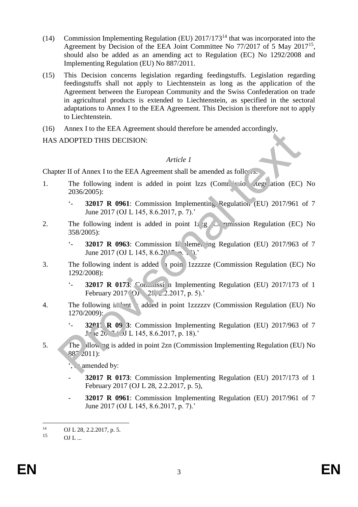- (14) Commission Implementing Regulation (EU) 2017/173<sup>14</sup> that was incorporated into the Agreement by Decision of the EEA Joint Committee No 77/2017 of 5 May 2017<sup>15</sup>, should also be added as an amending act to Regulation (EC) No 1292/2008 and Implementing Regulation (EU) No 887/2011.
- (15) This Decision concerns legislation regarding feedingstuffs. Legislation regarding feedingstuffs shall not apply to Liechtenstein as long as the application of the Agreement between the European Community and the Swiss Confederation on trade in agricultural products is extended to Liechtenstein, as specified in the sectoral adaptations to Annex I to the EEA Agreement. This Decision is therefore not to apply to Liechtenstein.
- (16) Annex I to the EEA Agreement should therefore be amended accordingly,

HAS ADOPTED THIS DECISION:

## *Article 1*

Chapter II of Annex I to the EEA Agreement shall be amended as follows:

- 1. The following indent is added in point lzzs (Commission Regulation (EC) No 2036/2005):
	- '- **32017 R 0961**: Commission Implementing Regulation (EU) 2017/961 of 7 June 2017 (OJ L 145, 8.6.2017, p. 7).'
- 2. The following indent is added in point 1z  $\overline{g}$   $\overline{G}$  mission Regulation (EC) No 358/2005):
	- $\cdot$  **32017 R 0963**: Commission In lementing Regulation (EU) 2017/963 of 7 June 2017 (OJ L 145, 8.6.20<sup>17</sup>, p. 1<sup>9</sup>).'
- 3. The following indent is added  $\frac{1}{2}$  poin 1zzzzzze (Commission Regulation (EC) No 1292/2008): ADOPTED THIS DECISION:<br>
Article 1<br>
Her II of Amex I to the EEA Agreement shall be amended as follows.<br>
The following indent is added in point lzzs (Comn. site action (EC)<br>
2036/2005):<br>
2017 R 0961: Commission Implementing
	- $\cdot$  **32017 R 0173**: Commission Implementing Regulation (EU) 2017/173 of 1 February 2017 (OJ 28, 2.2.2017, p. 5).'
- 4. The following indent added in point 1zzzzzy (Commission Regulation (EU) No 1270/2009):
	- '- **3201'** R 09 3: Commission Implementing Regulation (EU) 2017/963 of 7  $J \cdot (e 2b.7$  (*O*J L 145, 8.6.2017, p. 18).'
- 5. The bllowing is added in point 2zn (Commission Implementing Regulation (EU) No 887/2011):
	- ', amended by:
	- **32017 R 0173**: Commission Implementing Regulation (EU) 2017/173 of 1 February 2017 (OJ L 28, 2.2.2017, p. 5),
	- **32017 R 0961**: Commission Implementing Regulation (EU) 2017/961 of 7 June 2017 (OJ L 145, 8.6.2017, p. 7).'

 $14$  $^{14}$  OJ L 28, 2.2.2017, p. 5.<br>15

 $OL$   $L$  ...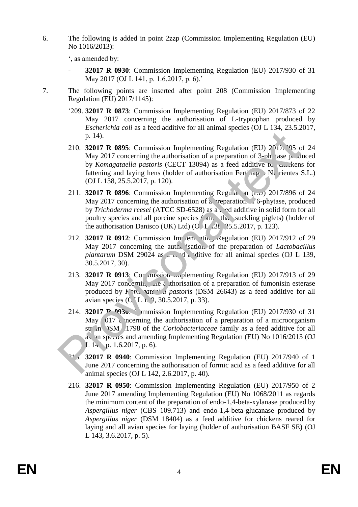6. The following is added in point 2zzp (Commission Implementing Regulation (EU) No 1016/2013):

', as amended by:

- **32017 R 0930**: Commission Implementing Regulation (EU) 2017/930 of 31 May 2017 (OJ L 141, p. 1.6.2017, p. 6).'
- 7. The following points are inserted after point 208 (Commission Implementing Regulation (EU) 2017/1145):
	- '209. **32017 R 0873**: Commission Implementing Regulation (EU) 2017/873 of 22 May 2017 concerning the authorisation of L-tryptophan produced by *Escherichia coli* as a feed additive for all animal species (OJ L 134, 23.5.2017, p. 14).
	- 210. **32017 R 0895**: Commission Implementing Regulation (EU) 2017, 95 of 24 May 2017 concerning the authorisation of a preparation of  $3$ -ph tase produced by *Komagataella pastoris* (CECT 13094) as a feed additive for chickens for fattening and laying hens (holder of authorisation Fertinagro Nutrientes S.L.) (OJ L 138, 25.5.2017, p. 120).
	- 211. **32017 R 0896**: Commission Implementing Regulation (EU) 2017/896 of 24 May 2017 concerning the authorisation of a reparation of  $\sim$  6-phytase, produced by *Trichoderma reesei* (ATCC SD-6528) as a fed additive in solid form for all poultry species and all porcine species  $\ell$  on than suckling piglets) (holder of the authorisation Danisco (UK) Ltd) (O $\angle$  L  $\angle$  38, 25.5.2017, p. 123).
	- 212. **32017 R 0912**: Commission Implementing Regulation (EU) 2017/912 of 29 May 2017 concerning the authorisation of the preparation of *Lactobacillus plantarum* DSM 29024 as  $\overline{A}$ , d. ditive for all animal species (OJ L 139, 30.5.2017, 30).
	- 213. **32017 R 0913**: Cor mission Implementing Regulation (EU) 2017/913 of 29 May 2017 concerning the authorisation of a preparation of fumonisin esterase produced by *K<sub>pm</sub>* at all pastoris (DSM 26643) as a feed additive for all avian species (C<sub>L 1</sub>, 9, 30.5.2017, p. 33).
	- 214. **32017 P 0930**: mmission Implementing Regulation (EU) 2017/930 of 31 May  $\overline{017}$  concerning the authorisation of a preparation of a microorganism strain DSM 11798 of the *Coriobacteriaceae* family as a feed additive for all a) an species and amending Implementing Regulation (EU) No 1016/2013 (OJ L  $14$ , p. 1.6.2017, p. 6). p. 14).<br>
	210. **32017 R 0895:** Commission Implementing Regulation (EU) 2016, <sup>0</sup>95 cMay 2017 concerning the authorisation of a preparation of 3-ph tase p. 16) are perception by *Komagataella pastoris* (CECT 13094) as a fee
		- 215. **32017 R 0940**: Commission Implementing Regulation (EU) 2017/940 of 1 June 2017 concerning the authorisation of formic acid as a feed additive for all animal species (OJ L 142, 2.6.2017, p. 40).
		- 216. **32017 R 0950**: Commission Implementing Regulation (EU) 2017/950 of 2 June 2017 amending Implementing Regulation (EU) No 1068/2011 as regards the minimum content of the preparation of endo-1,4-beta-xylanase produced by *Aspergillus niger* (CBS 109.713) and endo-1,4-beta-glucanase produced by *Aspergillus niger* (DSM 18404) as a feed additive for chickens reared for laying and all avian species for laying (holder of authorisation BASF SE) (OJ L 143, 3.6.2017, p. 5).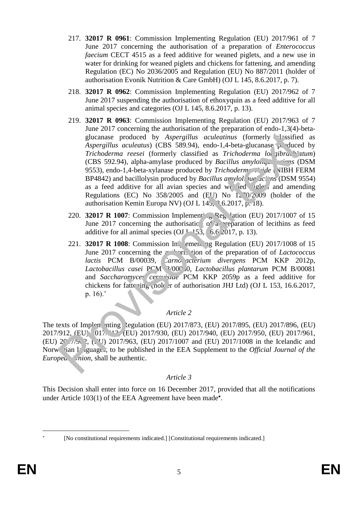- 217. **32017 R 0961**: Commission Implementing Regulation (EU) 2017/961 of 7 June 2017 concerning the authorisation of a preparation of *Enterococcus faecium* CECT 4515 as a feed additive for weaned piglets, and a new use in water for drinking for weaned piglets and chickens for fattening, and amending Regulation (EC) No 2036/2005 and Regulation (EU) No 887/2011 (holder of authorisation Evonik Nutrition & Care GmbH) (OJ L 145, 8.6.2017, p. 7).
- 218. **32017 R 0962**: Commission Implementing Regulation (EU) 2017/962 of 7 June 2017 suspending the authorisation of ethoxyquin as a feed additive for all animal species and categories (OJ L 145, 8.6.2017, p. 13).
- 219. **32017 R 0963**: Commission Implementing Regulation (EU) 2017/963 of 7 June 2017 concerning the authorisation of the preparation of endo-1,3(4)-betaglucanase produced by *Aspergillus aculeatinus* (formerly *classified as Aspergillus aculeatus*) (CBS 589.94), endo-1,4-beta-glucanase produced by *Trichoderma reesei* (formerly classified as *Trichoderma longibra*c<sup>hi</sup>atum) (CBS 592.94), alpha-amylase produced by *Bacillus amylologies ins* (DSM) 9553), endo-1,4-beta-xylanase produced by *Trichodermandial* **VIBH FERM** BP4842) and bacillolysin produced by *Bacillus amylolique aci* ns (DSM 9554) as a feed additive for all avian species and we ded piglets and amending Regulations (EC) No  $358/2005$  and (EU) No  $1270/2009$  (holder of the authorisation Kemin Europa NV) (OJ L 145, 3.6.2017, p. 18). Sure 2011 concerning the and the relation of the relation of the relation of the Richards (The Singer produced by Aspergillus cauleatinus (formerly  $\sim$  1858 Field Apple Trichoderma reesei (formerly classified as Trichode
	- 220. **32017 R 1007**: Commission Implementing Regulation (EU) 2017/1007 of 15 June 2017 concerning the authorisation of a preparation of lecithins as feed additive for all animal species (OJ  $I$  -153, 16.6.2017, p. 13).
	- 221. **32017 R 1008**: Commission Indementing Regulation (EU) 2017/1008 of 15 June 2017 concerning the authorisation of the preparation of of *Lactococcus* lactis PCM B/00039, *Carno acterium divergens* PCM KKP 2012p, *Lactobacillus casei* PCM B/00080, *Lactobacillus plantarum* PCM B/00081 and *Saccharomyces* cerwisiae PCM KKP 2059p as a feed additive for chickens for fattening (note at of authorisation JHJ Ltd) (OJ L 153, 16.6.2017, p. 16).'

# *Article 2*

The texts of Implementing Regulation (EU) 2017/873, (EU) 2017/895, (EU) 2017/896, (EU) 2017/912, (EU) 2017/913, (EU) 2017/930, (EU) 2017/940, (EU) 2017/950, (EU) 2017/961, (EU) 2017/962, (EU) 2017/963, (EU) 2017/1007 and (EU) 2017/1008 in the Icelandic and Norwegian languages, to be published in the EEA Supplement to the *Official Journal of the Europea nion*, shall be authentic.

# *Article 3*

This Decision shall enter into force on 16 December 2017, provided that all the notifications under Article 103(1) of the EEA Agreement have been made\*.

 $\overline{a}$ ×

<sup>[</sup>No constitutional requirements indicated.] [Constitutional requirements indicated.]